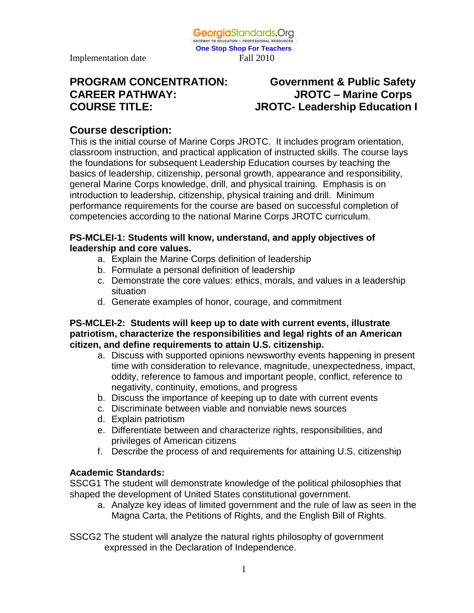Implementation date Fall 2010

# **CAREER PATHWAY: JROTC – Marine Corps**

## **PROGRAM CONCENTRATION: Government & Public Safety COURSE TITLE: JROTC- Leadership Education I**

#### **Course description:**

This is the initial course of Marine Corps JROTC. It includes program orientation, classroom instruction, and practical application of instructed skills. The course lays the foundations for subsequent Leadership Education courses by teaching the basics of leadership, citizenship, personal growth, appearance and responsibility, general Marine Corps knowledge, drill, and physical training. Emphasis is on introduction to leadership, citizenship, physical training and drill. Minimum performance requirements for the course are based on successful completion of competencies according to the national Marine Corps JROTC curriculum.

**One Stop Shop For Teachers**

GeorgiaStandards.Org GATEWAY TO EDUCATION & PROFESSIONAL RESOURCE

#### **PS-MCLEI-1: Students will know, understand, and apply objectives of leadership and core values.**

- a. Explain the Marine Corps definition of leadership
- b. Formulate a personal definition of leadership
- c. Demonstrate the core values: ethics, morals, and values in a leadership situation
- d. Generate examples of honor, courage, and commitment

#### **PS-MCLEI-2: Students will keep up to date with current events, illustrate patriotism, characterize the responsibilities and legal rights of an American citizen, and define requirements to attain U.S. citizenship.**

- a. Discuss with supported opinions newsworthy events happening in present time with consideration to relevance, magnitude, unexpectedness, impact, oddity, reference to famous and important people, conflict, reference to negativity, continuity, emotions, and progress
- b. Discuss the importance of keeping up to date with current events
- c. Discriminate between viable and nonviable news sources
- d. Explain patriotism
- e. Differentiate between and characterize rights, responsibilities, and privileges of American citizens
- f. Describe the process of and requirements for attaining U.S. citizenship

#### **Academic Standards:**

SSCG1 The student will demonstrate knowledge of the political philosophies that shaped the development of United States constitutional government.

a. Analyze key ideas of limited government and the rule of law as seen in the Magna Carta, the Petitions of Rights, and the English Bill of Rights.

SSCG2 The student will analyze the natural rights philosophy of government expressed in the Declaration of Independence.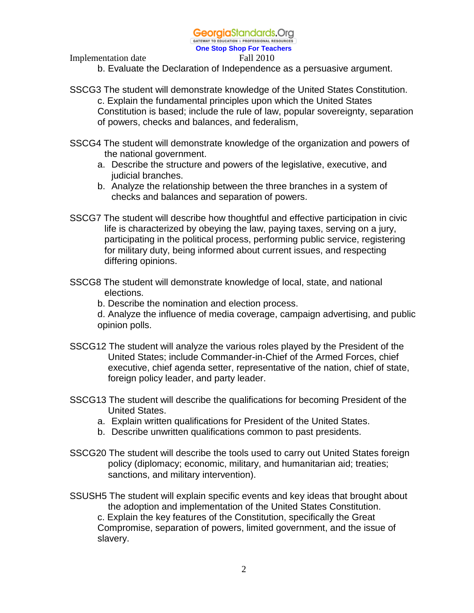#### GeorgiaStandards.Org

GATEWAY TO EDUCATION & PROFESSIONAL RESOURCE **One Stop Shop For Teachers**

Implementation date Fall 2010

b. Evaluate the Declaration of Independence as a persuasive argument.

- SSCG3 The student will demonstrate knowledge of the United States Constitution. c. Explain the fundamental principles upon which the United States Constitution is based; include the rule of law, popular sovereignty, separation of powers, checks and balances, and federalism,
- SSCG4 The student will demonstrate knowledge of the organization and powers of the national government.
	- a. Describe the structure and powers of the legislative, executive, and judicial branches.
	- b. Analyze the relationship between the three branches in a system of checks and balances and separation of powers.
- SSCG7 The student will describe how thoughtful and effective participation in civic life is characterized by obeying the law, paying taxes, serving on a jury, participating in the political process, performing public service, registering for military duty, being informed about current issues, and respecting differing opinions.
- SSCG8 The student will demonstrate knowledge of local, state, and national elections.

b. Describe the nomination and election process.

d. Analyze the influence of media coverage, campaign advertising, and public opinion polls.

- SSCG12 The student will analyze the various roles played by the President of the United States; include Commander-in-Chief of the Armed Forces, chief executive, chief agenda setter, representative of the nation, chief of state, foreign policy leader, and party leader.
- SSCG13 The student will describe the qualifications for becoming President of the United States.
	- a. Explain written qualifications for President of the United States.
	- b. Describe unwritten qualifications common to past presidents.
- SSCG20 The student will describe the tools used to carry out United States foreign policy (diplomacy; economic, military, and humanitarian aid; treaties; sanctions, and military intervention).
- SSUSH5 The student will explain specific events and key ideas that brought about the adoption and implementation of the United States Constitution. c. Explain the key features of the Constitution, specifically the Great

Compromise, separation of powers, limited government, and the issue of slavery.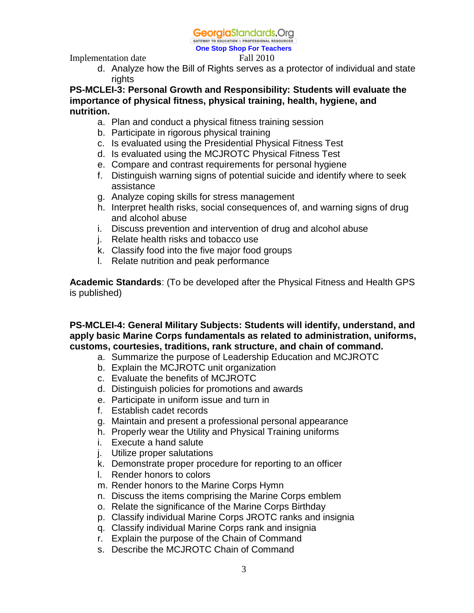GATEWAY TO EDUCATION & PROFESSIONAL RESOURCE **One Stop Shop For Teachers**

Implementation date Fall 2010

d. Analyze how the Bill of Rights serves as a protector of individual and state rights

**PS-MCLEI-3: Personal Growth and Responsibility: Students will evaluate the importance of physical fitness, physical training, health, hygiene, and nutrition.** 

- a. Plan and conduct a physical fitness training session
- b. Participate in rigorous physical training
- c. Is evaluated using the Presidential Physical Fitness Test
- d. Is evaluated using the MCJROTC Physical Fitness Test
- e. Compare and contrast requirements for personal hygiene
- f. Distinguish warning signs of potential suicide and identify where to seek assistance
- g. Analyze coping skills for stress management
- h. Interpret health risks, social consequences of, and warning signs of drug and alcohol abuse
- i. Discuss prevention and intervention of drug and alcohol abuse
- j. Relate health risks and tobacco use
- k. Classify food into the five major food groups
- l. Relate nutrition and peak performance

**Academic Standards**: (To be developed after the Physical Fitness and Health GPS is published)

**PS-MCLEI-4: General Military Subjects: Students will identify, understand, and apply basic Marine Corps fundamentals as related to administration, uniforms, customs, courtesies, traditions, rank structure, and chain of command.**

- a. Summarize the purpose of Leadership Education and MCJROTC
- b. Explain the MCJROTC unit organization
- c. Evaluate the benefits of MCJROTC
- d. Distinguish policies for promotions and awards
- e. Participate in uniform issue and turn in
- f. Establish cadet records
- g. Maintain and present a professional personal appearance
- h. Properly wear the Utility and Physical Training uniforms
- i. Execute a hand salute
- j. Utilize proper salutations
- k. Demonstrate proper procedure for reporting to an officer
- l. Render honors to colors
- m. Render honors to the Marine Corps Hymn
- n. Discuss the items comprising the Marine Corps emblem
- o. Relate the significance of the Marine Corps Birthday
- p. Classify individual Marine Corps JROTC ranks and insignia
- q. Classify individual Marine Corps rank and insignia
- r. Explain the purpose of the Chain of Command
- s. Describe the MCJROTC Chain of Command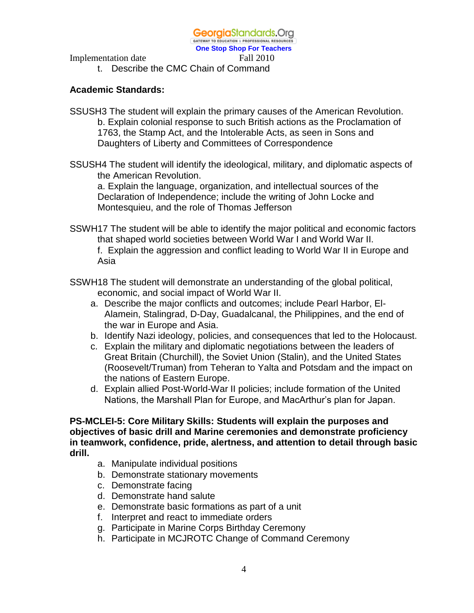**One Stop Shop For Teachers**

Implementation date Fall 2010

t. Describe the CMC Chain of Command

#### **Academic Standards:**

- SSUSH3 The student will explain the primary causes of the American Revolution. b. Explain colonial response to such British actions as the Proclamation of 1763, the Stamp Act, and the Intolerable Acts, as seen in Sons and Daughters of Liberty and Committees of Correspondence
- SSUSH4 The student will identify the ideological, military, and diplomatic aspects of the American Revolution.

a. Explain the language, organization, and intellectual sources of the Declaration of Independence; include the writing of John Locke and Montesquieu, and the role of Thomas Jefferson

- SSWH17 The student will be able to identify the major political and economic factors that shaped world societies between World War I and World War II.
	- f. Explain the aggression and conflict leading to World War II in Europe and Asia
- SSWH18 The student will demonstrate an understanding of the global political, economic, and social impact of World War II.
	- a. Describe the major conflicts and outcomes; include Pearl Harbor, El-Alamein, Stalingrad, D-Day, Guadalcanal, the Philippines, and the end of the war in Europe and Asia.
	- b. Identify Nazi ideology, policies, and consequences that led to the Holocaust.
	- c. Explain the military and diplomatic negotiations between the leaders of Great Britain (Churchill), the Soviet Union (Stalin), and the United States (Roosevelt/Truman) from Teheran to Yalta and Potsdam and the impact on the nations of Eastern Europe.
	- d. Explain allied Post-World-War II policies; include formation of the United Nations, the Marshall Plan for Europe, and MacArthur's plan for Japan.

**PS-MCLEI-5: Core Military Skills: Students will explain the purposes and objectives of basic drill and Marine ceremonies and demonstrate proficiency in teamwork, confidence, pride, alertness, and attention to detail through basic drill.**

- a. Manipulate individual positions
- b. Demonstrate stationary movements
- c. Demonstrate facing
- d. Demonstrate hand salute
- e. Demonstrate basic formations as part of a unit
- f. Interpret and react to immediate orders
- g. Participate in Marine Corps Birthday Ceremony
- h. Participate in MCJROTC Change of Command Ceremony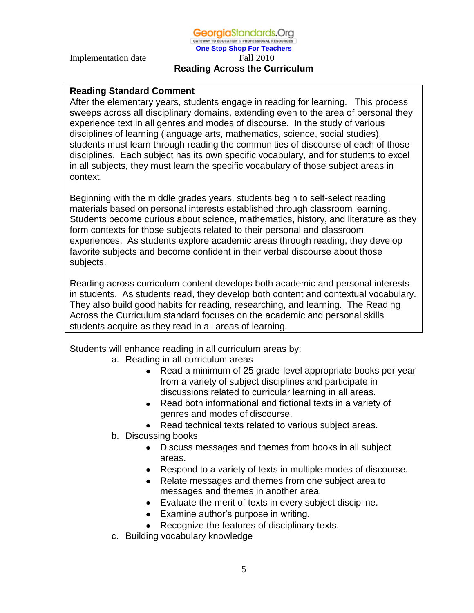#### **One Stop Shop For Teachers** Implementation date Fall 2010 **Reading Across the Curriculum**

#### **Reading Standard Comment**

After the elementary years, students engage in reading for learning. This process sweeps across all disciplinary domains, extending even to the area of personal they experience text in all genres and modes of discourse. In the study of various disciplines of learning (language arts, mathematics, science, social studies), students must learn through reading the communities of discourse of each of those disciplines. Each subject has its own specific vocabulary, and for students to excel in all subjects, they must learn the specific vocabulary of those subject areas in context.

Beginning with the middle grades years, students begin to self-select reading materials based on personal interests established through classroom learning. Students become curious about science, mathematics, history, and literature as they form contexts for those subjects related to their personal and classroom experiences. As students explore academic areas through reading, they develop favorite subjects and become confident in their verbal discourse about those subjects.

Reading across curriculum content develops both academic and personal interests in students. As students read, they develop both content and contextual vocabulary. They also build good habits for reading, researching, and learning. The Reading Across the Curriculum standard focuses on the academic and personal skills students acquire as they read in all areas of learning.

Students will enhance reading in all curriculum areas by:

- a. Reading in all curriculum areas
	- Read a minimum of 25 grade-level appropriate books per year from a variety of subject disciplines and participate in discussions related to curricular learning in all areas.
	- Read both informational and fictional texts in a variety of genres and modes of discourse.
	- Read technical texts related to various subject areas.
- b. Discussing books
	- Discuss messages and themes from books in all subject areas.
	- Respond to a variety of texts in multiple modes of discourse.
	- Relate messages and themes from one subject area to messages and themes in another area.
	- Evaluate the merit of texts in every subject discipline.
	- Examine author's purpose in writing.
	- Recognize the features of disciplinary texts.
- c. Building vocabulary knowledge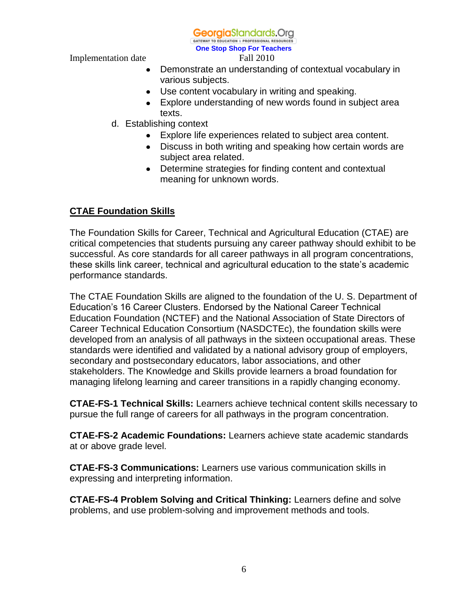**Georgia**Standards.Org

GATEWAY TO EDUCATION & PROFESSIONAL RESOURC **One Stop Shop For Teachers**

Implementation date Fall 2010

- $\bullet$ Demonstrate an understanding of contextual vocabulary in various subjects.
- Use content vocabulary in writing and speaking.
- Explore understanding of new words found in subject area texts.
- d. Establishing context
	- Explore life experiences related to subject area content.
	- Discuss in both writing and speaking how certain words are subject area related.
	- Determine strategies for finding content and contextual meaning for unknown words.

### **CTAE Foundation Skills**

The Foundation Skills for Career, Technical and Agricultural Education (CTAE) are critical competencies that students pursuing any career pathway should exhibit to be successful. As core standards for all career pathways in all program concentrations, these skills link career, technical and agricultural education to the state's academic performance standards.

The CTAE Foundation Skills are aligned to the foundation of the U. S. Department of Education's 16 Career Clusters. Endorsed by the National Career Technical Education Foundation (NCTEF) and the National Association of State Directors of Career Technical Education Consortium (NASDCTEc), the foundation skills were developed from an analysis of all pathways in the sixteen occupational areas. These standards were identified and validated by a national advisory group of employers, secondary and postsecondary educators, labor associations, and other stakeholders. The Knowledge and Skills provide learners a broad foundation for managing lifelong learning and career transitions in a rapidly changing economy.

**CTAE-FS-1 Technical Skills:** Learners achieve technical content skills necessary to pursue the full range of careers for all pathways in the program concentration.

**CTAE-FS-2 Academic Foundations:** Learners achieve state academic standards at or above grade level.

**CTAE-FS-3 Communications:** Learners use various communication skills in expressing and interpreting information.

**CTAE-FS-4 Problem Solving and Critical Thinking:** Learners define and solve problems, and use problem-solving and improvement methods and tools.